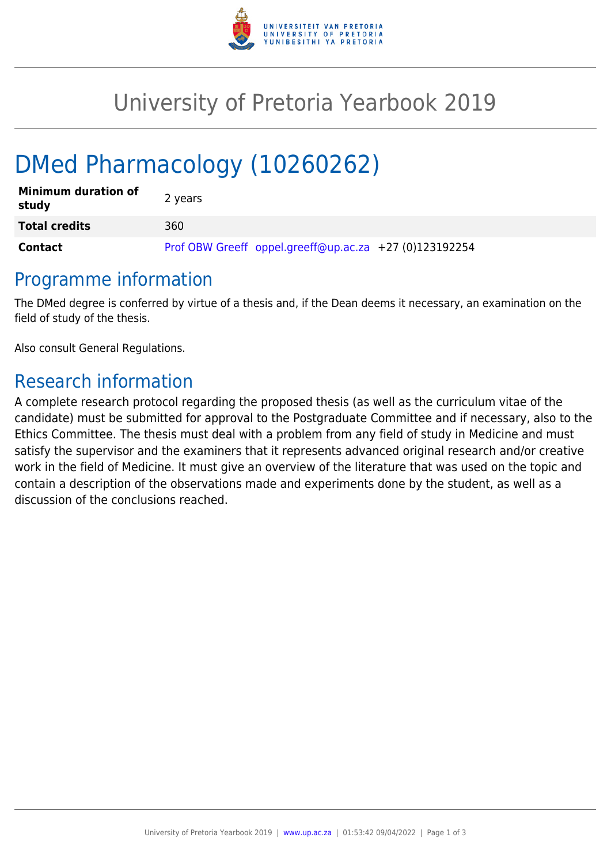

## University of Pretoria Yearbook 2019

# DMed Pharmacology (10260262)

| <b>Minimum duration of</b><br>study | 2 years                                                |
|-------------------------------------|--------------------------------------------------------|
| <b>Total credits</b>                | 360                                                    |
| Contact                             | Prof OBW Greeff oppel.greeff@up.ac.za +27 (0)123192254 |

#### Programme information

The DMed degree is conferred by virtue of a thesis and, if the Dean deems it necessary, an examination on the field of study of the thesis.

Also consult General Regulations.

### Research information

A complete research protocol regarding the proposed thesis (as well as the curriculum vitae of the candidate) must be submitted for approval to the Postgraduate Committee and if necessary, also to the Ethics Committee. The thesis must deal with a problem from any field of study in Medicine and must satisfy the supervisor and the examiners that it represents advanced original research and/or creative work in the field of Medicine. It must give an overview of the literature that was used on the topic and contain a description of the observations made and experiments done by the student, as well as a discussion of the conclusions reached.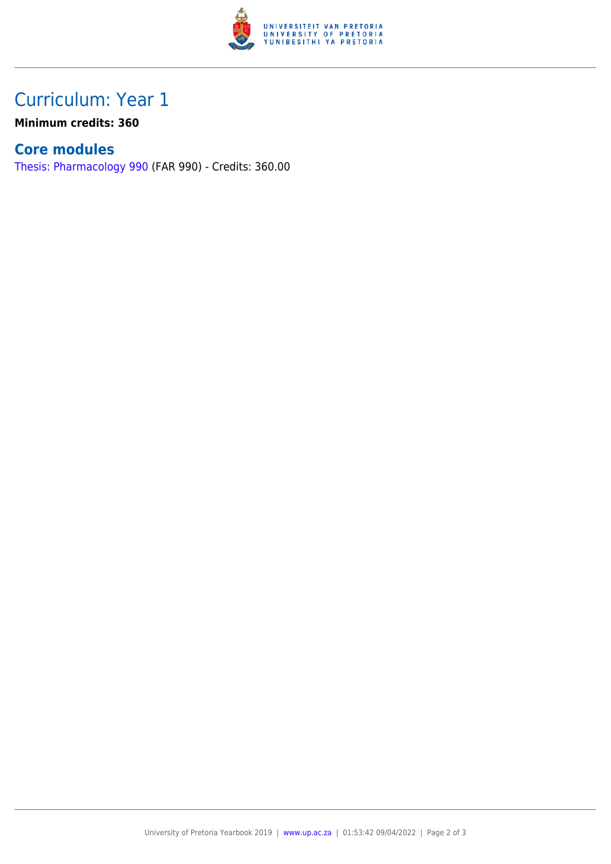

## Curriculum: Year 1

**Minimum credits: 360**

#### **Core modules**

[Thesis: Pharmacology 990](https://www.up.ac.za/faculty-of-education/yearbooks/2019/modules/view/FAR 990) (FAR 990) - Credits: 360.00